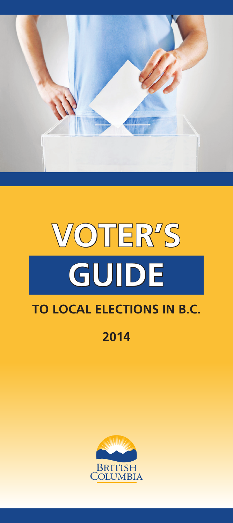

# **VOTER'S GUIDE TO LOCAL ELECTIONS IN B.C.**

# **2014**

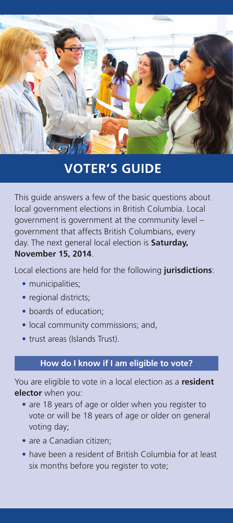

# **VOTER'S GUIDE**

This guide answers a few of the basic questions about local government elections in British Columbia. Local government is government at the community level – government that affects British Columbians, every day. The next general local election is **Saturday, November 15, 2014**.

Local elections are held for the following **jurisdictions**:

- municipalities;
- regional districts;
- boards of education;
- local community commissions; and,
- trust areas (Islands Trust).

# **How do I know if I am eligible to vote?**

You are eligible to vote in a local election as a **resident elector** when you:

- are 18 years of age or older when you register to vote or will be 18 years of age or older on general voting day;
- are a Canadian citizen;
- have been a resident of British Columbia for at least six months before you register to vote;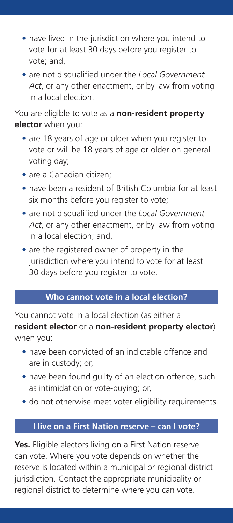- have lived in the jurisdiction where you intend to vote for at least 30 days before you register to vote; and,
- are not disqualified under the *Local Government Act*, or any other enactment, or by law from voting in a local election.

You are eligible to vote as a **non-resident property elector** when you:

- are 18 years of age or older when you register to vote or will be 18 years of age or older on general voting day;
- are a Canadian citizen:
- have been a resident of British Columbia for at least six months before you register to vote;
- are not disqualified under the *Local Government Act*, or any other enactment, or by law from voting in a local election; and,
- are the registered owner of property in the jurisdiction where you intend to vote for at least 30 days before you register to vote.

# **Who cannot vote in a local election?**

You cannot vote in a local election (as either a **resident elector** or a **non-resident property elector**) when you:

- have been convicted of an indictable offence and are in custody; or,
- have been found quilty of an election offence, such as intimidation or vote-buying; or,
- do not otherwise meet voter eligibility requirements.

# **I live on a First Nation reserve – can I vote?**

**Yes.** Eligible electors living on a First Nation reserve can vote. Where you vote depends on whether the reserve is located within a municipal or regional district jurisdiction. Contact the appropriate municipality or regional district to determine where you can vote.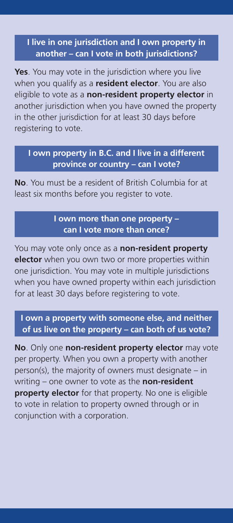# **I live in one jurisdiction and I own property in another – can I vote in both jurisdictions?**

**Yes**. You may vote in the jurisdiction where you live when you qualify as a **resident elector**. You are also eligible to vote as a **non-resident property elector** in another jurisdiction when you have owned the property in the other jurisdiction for at least 30 days before registering to vote.

#### **I own property in B.C. and I live in a different province or country – can I vote?**

**No**. You must be a resident of British Columbia for at least six months before you register to vote.

#### **I own more than one property – can I vote more than once?**

You may vote only once as a **non-resident property elector** when you own two or more properties within one jurisdiction. You may vote in multiple jurisdictions when you have owned property within each jurisdiction for at least 30 days before registering to vote.

#### **I own a property with someone else, and neither of us live on the property – can both of us vote?**

**No**. Only one **non-resident property elector** may vote per property. When you own a property with another person(s), the majority of owners must designate – in writing – one owner to vote as the **non-resident property elector** for that property. No one is eligible to vote in relation to property owned through or in conjunction with a corporation.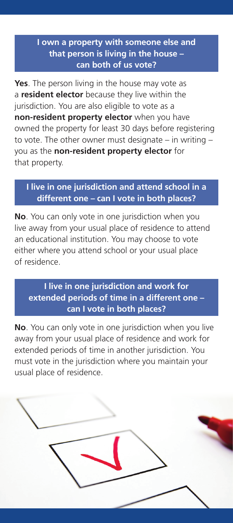# **I own a property with someone else and that person is living in the house – can both of us vote?**

**Yes**. The person living in the house may vote as a **resident elector** because they live within the jurisdiction. You are also eligible to vote as a **non-resident property elector** when you have owned the property for least 30 days before registering to vote. The other owner must designate – in writing – you as the **non-resident property elector** for that property.

#### **I live in one jurisdiction and attend school in a different one – can I vote in both places?**

**No**. You can only vote in one jurisdiction when you live away from your usual place of residence to attend an educational institution. You may choose to vote either where you attend school or your usual place of residence.

# **I live in one jurisdiction and work for extended periods of time in a different one – can I vote in both places?**

**No**. You can only vote in one jurisdiction when you live away from your usual place of residence and work for extended periods of time in another jurisdiction. You must vote in the jurisdiction where you maintain your usual place of residence.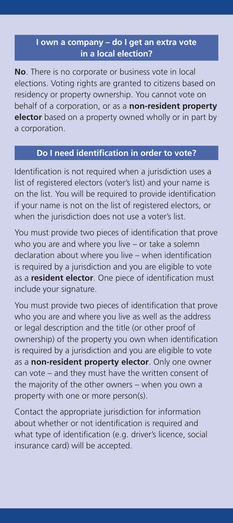## **I own a company – do I get an extra vote in a local election?**

**No**. There is no corporate or business vote in local elections. Voting rights are granted to citizens based on residency or property ownership. You cannot vote on behalf of a corporation, or as a **non-resident property elector** based on a property owned wholly or in part by a corporation.

# **Do I need identification in order to vote?**

Identification is not required when a jurisdiction uses a list of registered electors (voter's list) and your name is on the list. You will be required to provide identification if your name is not on the list of registered electors, or when the jurisdiction does not use a voter's list.

You must provide two pieces of identification that prove who you are and where you live – or take a solemn declaration about where you live – when identification is required by a jurisdiction and you are eligible to vote as a **resident elector**. One piece of identification must include your signature.

You must provide two pieces of identification that prove who you are and where you live as well as the address or legal description and the title (or other proof of ownership) of the property you own when identification is required by a jurisdiction and you are eligible to vote as a **non-resident property elector**. Only one owner can vote – and they must have the written consent of the majority of the other owners – when you own a property with one or more person(s).

Contact the appropriate jurisdiction for information about whether or not identification is required and what type of identification (e.g. driver's licence, social insurance card) will be accepted.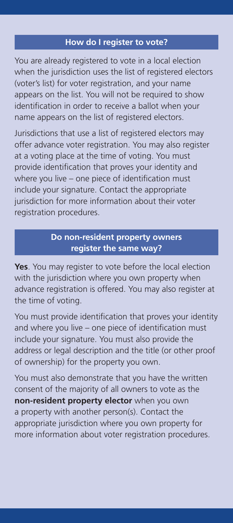#### **How do I register to vote?**

You are already registered to vote in a local election when the jurisdiction uses the list of registered electors (voter's list) for voter registration, and your name appears on the list. You will not be required to show identification in order to receive a ballot when your name appears on the list of registered electors.

Jurisdictions that use a list of registered electors may offer advance voter registration. You may also register at a voting place at the time of voting. You must provide identification that proves your identity and where you live – one piece of identification must include your signature. Contact the appropriate jurisdiction for more information about their voter registration procedures.

# **Do non-resident property owners register the same way?**

**Yes**. You may register to vote before the local election with the jurisdiction where you own property when advance registration is offered. You may also register at the time of voting.

You must provide identification that proves your identity and where you live – one piece of identification must include your signature. You must also provide the address or legal description and the title (or other proof of ownership) for the property you own.

You must also demonstrate that you have the written consent of the majority of all owners to vote as the **non-resident property elector** when you own a property with another person(s). Contact the appropriate jurisdiction where you own property for more information about voter registration procedures.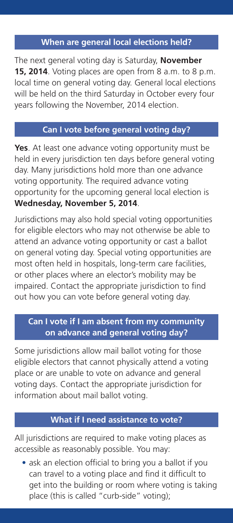#### **When are general local elections held?**

The next general voting day is Saturday, **November 15, 2014**. Voting places are open from 8 a.m. to 8 p.m. local time on general voting day. General local elections will be held on the third Saturday in October every four years following the November, 2014 election.

#### **Can I vote before general voting day?**

**Yes**. At least one advance voting opportunity must be held in every jurisdiction ten days before general voting day. Many jurisdictions hold more than one advance voting opportunity. The required advance voting opportunity for the upcoming general local election is **Wednesday, November 5, 2014**.

Jurisdictions may also hold special voting opportunities for eligible electors who may not otherwise be able to attend an advance voting opportunity or cast a ballot on general voting day. Special voting opportunities are most often held in hospitals, long-term care facilities, or other places where an elector's mobility may be impaired. Contact the appropriate jurisdiction to find out how you can vote before general voting day.

# **Can I vote if I am absent from my community on advance and general voting day?**

Some jurisdictions allow mail ballot voting for those eligible electors that cannot physically attend a voting place or are unable to vote on advance and general voting days. Contact the appropriate jurisdiction for information about mail ballot voting.

#### **What if I need assistance to vote?**

All jurisdictions are required to make voting places as accessible as reasonably possible. You may:

• ask an election official to bring you a ballot if you can travel to a voting place and find it difficult to get into the building or room where voting is taking place (this is called "curb-side" voting);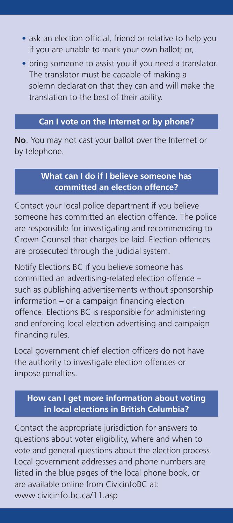- ask an election official, friend or relative to help you if you are unable to mark your own ballot; or,
- bring someone to assist you if you need a translator. The translator must be capable of making a solemn declaration that they can and will make the translation to the best of their ability.

#### **Can I vote on the Internet or by phone?**

**No**. You may not cast your ballot over the Internet or by telephone.

#### **What can I do if I believe someone has committed an election offence?**

Contact your local police department if you believe someone has committed an election offence. The police are responsible for investigating and recommending to Crown Counsel that charges be laid. Election offences are prosecuted through the judicial system.

Notify Elections BC if you believe someone has committed an advertising-related election offence – such as publishing advertisements without sponsorship information – or a campaign financing election offence. Elections BC is responsible for administering and enforcing local election advertising and campaign financing rules.

Local government chief election officers do not have the authority to investigate election offences or impose penalties.

#### **How can I get more information about voting in local elections in British Columbia?**

**.**

Contact the appropriate jurisdiction for answers to questions about voter eligibility, where and when to vote and general questions about the election process. Local government addresses and phone numbers are listed in the blue pages of the local phone book, or are available online from CivicinfoBC at: [www.civicinfo.bc.ca/11.asp](http://www.civicinfo.bc.ca/11.asp)